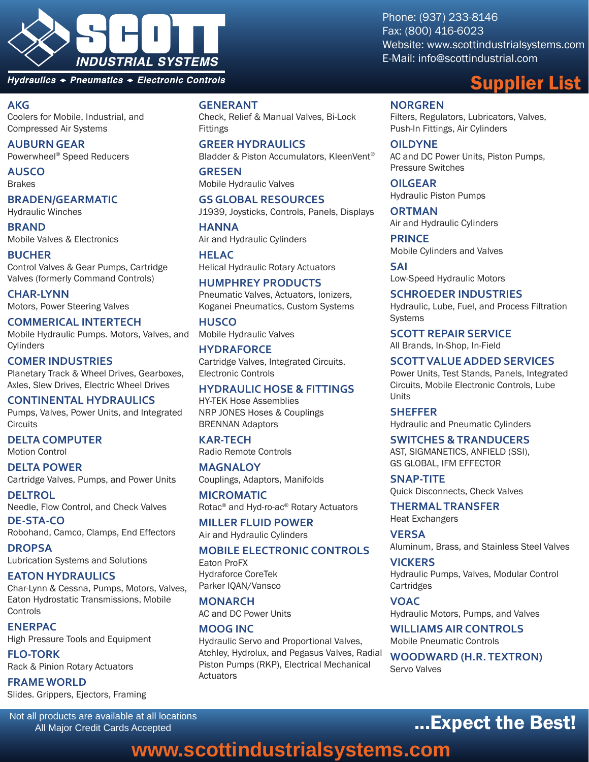

Hydraulics + Pneumatics + Electronic Controls

#### **AKG**

Coolers for Mobile, Industrial, and Compressed Air Systems

**AUBURN GEAR** Powerwheel® Speed Reducers

**AUSCO** Brakes

#### **BRADEN/GEARMATIC**

Hydraulic Winches

**BRAND** Mobile Valves & Electronics

**BUCHER** Control Valves & Gear Pumps, Cartridge Valves (formerly Command Controls)

**CHAR-LYNN** Motors, Power Steering Valves

**COMMERICAL INTERTECH** Mobile Hydraulic Pumps. Motors, Valves, and **Cylinders** 

**COMER INDUSTRIES** Planetary Track & Wheel Drives, Gearboxes, Axles, Slew Drives, Electric Wheel Drives

**CONTINENTAL HYDRAULICS** Pumps, Valves, Power Units, and Integrated **Circuits** 

**DELTA COMPUTER** Motion Control

**DELTA POWER** Cartridge Valves, Pumps, and Power Units

**DELTROL** Needle, Flow Control, and Check Valves **DE-STA-CO**

Robohand, Camco, Clamps, End Effectors

**DROPSA** Lubrication Systems and Solutions

**EATON HYDRAULICS** Char-Lynn & Cessna, Pumps, Motors, Valves, Eaton Hydrostatic Transmissions, Mobile Controls

**ENERPAC** High Pressure Tools and Equipment

**FLO-TORK** Rack & Pinion Rotary Actuators

**FRAME WORLD** Slides. Grippers, Ejectors, Framing

Not all products are available at all locations All Major Credit Cards Accepted

#### **GENERANT**

Check, Relief & Manual Valves, Bi-Lock Fittings

**GREER HYDRAULICS** Bladder & Piston Accumulators, KleenVent®

**GRESEN** Mobile Hydraulic Valves

**GS GLOBAL RESOURCES** J1939, Joysticks, Controls, Panels, Displays

**HANNA** Air and Hydraulic Cylinders

**HELAC** Helical Hydraulic Rotary Actuators

**HUMPHREY PRODUCTS** Pneumatic Valves, Actuators, Ionizers, Koganei Pneumatics, Custom Systems

**HUSCO** Mobile Hydraulic Valves

**HYDRAFORCE** Cartridge Valves, Integrated Circuits, Electronic Controls

#### **HYDRAULIC HOSE & FITTINGS**

HY-TEK Hose Assemblies NRP JONES Hoses & Couplings BRENNAN Adaptors

**KAR-TECH** Radio Remote Controls

**MAGNALOY** Couplings, Adaptors, Manifolds

**MICROMATIC** Rotac® and Hyd-ro-ac® Rotary Actuators

**MILLER FLUID POWER** Air and Hydraulic Cylinders

#### **MOBILE ELECTRONIC CONTROLS**

Eaton ProFX Hydraforce CoreTek Parker IQAN/Vansco

**MONARCH** AC and DC Power Units

**MOOG INC** Hydraulic Servo and Proportional Valves, Atchley, Hydrolux, and Pegasus Valves, Radial Piston Pumps (RKP), Electrical Mechanical Actuators

Phone: (937) 233-8146 Fax: (800) 416-6023 Website: www.scottindustrialsystems.com E-Mail: info@scottindustrial.com

## Supplier List

**NORGREN** Filters, Regulators, Lubricators, Valves, Push-In Fittings, Air Cylinders

**OILDYNE** AC and DC Power Units, Piston Pumps, Pressure Switches

**OILGEAR** Hydraulic Piston Pumps

**ORTMAN** Air and Hydraulic Cylinders

**PRINCE** Mobile Cylinders and Valves

**SAI** Low-Speed Hydraulic Motors

**SCHROEDER INDUSTRIES** Hydraulic, Lube, Fuel, and Process Filtration Systems

**SCOTT REPAIR SERVICE** All Brands, In-Shop, In-Field

**SCOTT VALUE ADDED SERVICES** Power Units, Test Stands, Panels, Integrated Circuits, Mobile Electronic Controls, Lube Units

**SHEFFER** Hydraulic and Pneumatic Cylinders

**SWITCHES & TRANDUCERS** AST, SIGMANETICS, ANFIELD (SSI), GS GLOBAL, IFM EFFECTOR

**SNAP-TITE** Quick Disconnects, Check Valves

**THERMAL TRANSFER** Heat Exchangers

**VERSA** Aluminum, Brass, and Stainless Steel Valves

**VICKERS** Hydraulic Pumps, Valves, Modular Control Cartridges

**VOAC** Hydraulic Motors, Pumps, and Valves

**WILLIAMS AIR CONTROLS** Mobile Pneumatic Controls

**WOODWARD (H.R. TEXTRON)** Servo Valves

## ...Expect the Best!

## **www.scottindustrialsystems.com**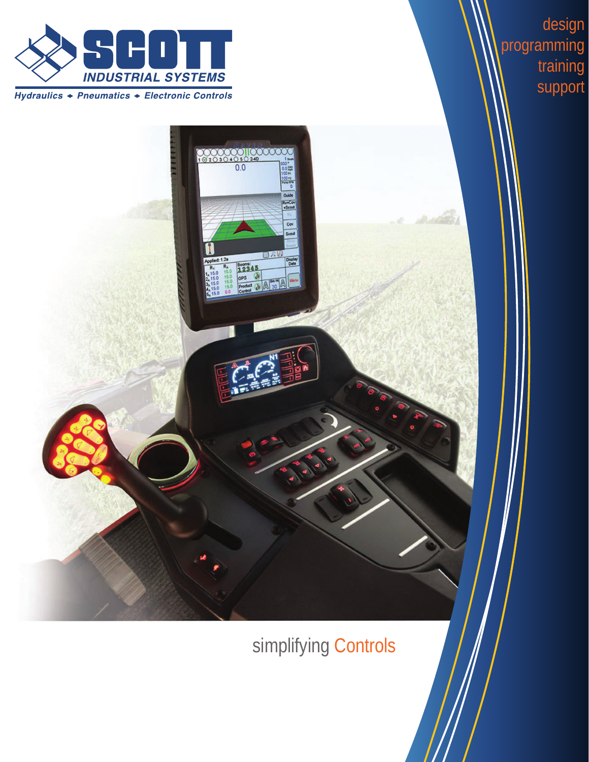

Hydraulics + Pneumatics + Electronic Controls

 $\frac{1000100}{1010240}$ 

Cov Scott

Display<br>Data

 $\begin{array}{|c|c|}\n\hline\n & 12345 \\
\hline\n\text{cos} & \text{cos} \\
\hline\n\text{product} & \text{cos} \\
\hline\n\text{cos} & \text{cos} \\
\hline\n\text{cos} & \text{cos} \\
\hline\n\end{array}$ 

design programming training support

simplifying Controls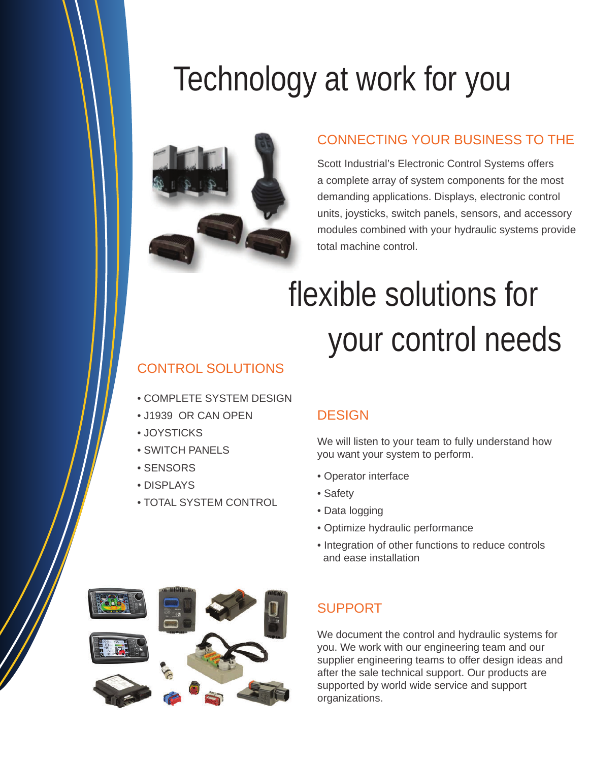# Technology at work for you



#### CONNECTING YOUR BUSINESS TO THE

Scott Industrial's Electronic Control Systems offers a complete array of system components for the most demanding applications. Displays, electronic control units, joysticks, switch panels, sensors, and accessory modules combined with your hydraulic systems provide total machine control.

# flexible solutions for your control needs

## CONTROL SOLUTIONS

- COMPLETE SYSTEM DESIGN
- J1939 OR CAN OPEN
- JOYSTICKS
- SWITCH PANELS
- SENSORS
- DISPLAYS
- TOTAL SYSTEM CONTROL

#### **DESIGN**

We will listen to your team to fully understand how you want your system to perform.

- Operator interface
- Safety
- Data logging
- Optimize hydraulic performance
- Integration of other functions to reduce controls and ease installation



#### SUPPORT

We document the control and hydraulic systems for you. We work with our engineering team and our supplier engineering teams to offer design ideas and after the sale technical support. Our products are supported by world wide service and support organizations.